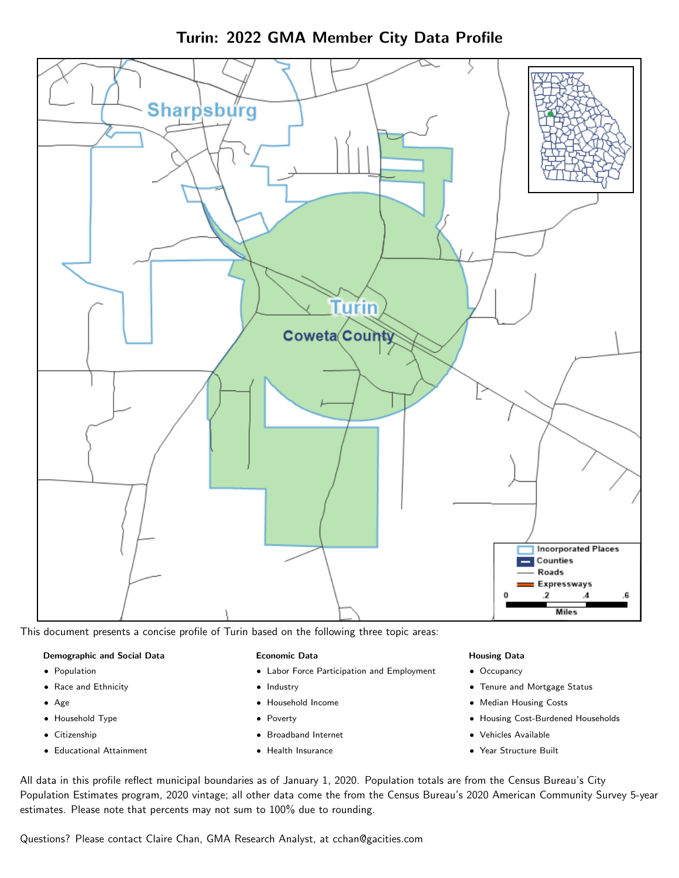



This document presents a concise profile of Turin based on the following three topic areas:

#### Demographic and Social Data

- **•** Population
- Race and Ethnicity
- Age
- Household Type
- **Citizenship**
- Educational Attainment

#### Economic Data

- Labor Force Participation and Employment
- Industry
- Household Income
- Poverty
- Broadband Internet
- Health Insurance

#### Housing Data

- Occupancy
- Tenure and Mortgage Status
- Median Housing Costs
- Housing Cost-Burdened Households
- Vehicles Available
- Year Structure Built

All data in this profile reflect municipal boundaries as of January 1, 2020. Population totals are from the Census Bureau's City Population Estimates program, 2020 vintage; all other data come the from the Census Bureau's 2020 American Community Survey 5-year estimates. Please note that percents may not sum to 100% due to rounding.

Questions? Please contact Claire Chan, GMA Research Analyst, at [cchan@gacities.com.](mailto:cchan@gacities.com)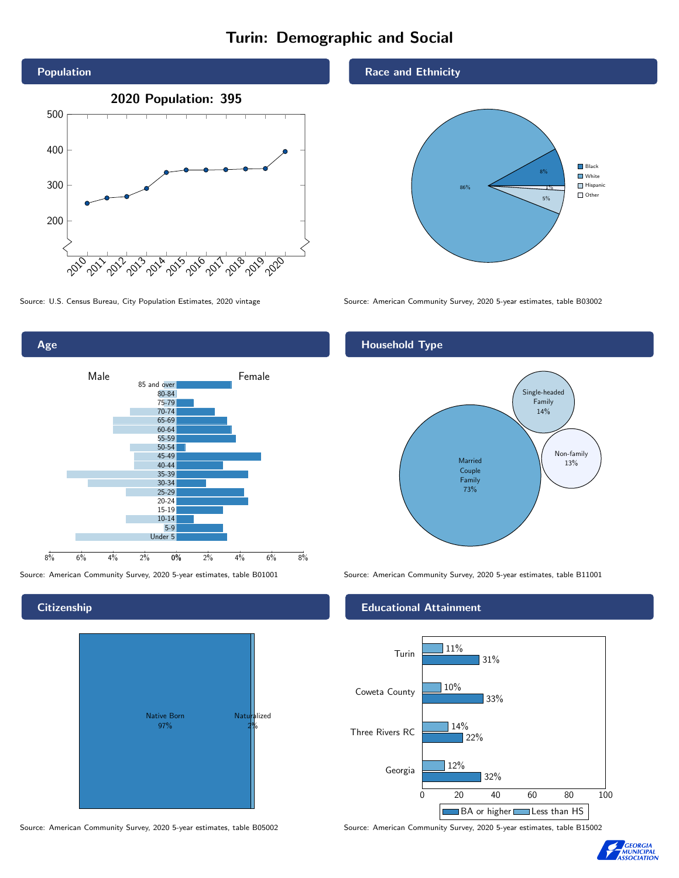# Turin: Demographic and Social





## **Citizenship**



Source: American Community Survey, 2020 5-year estimates, table B05002 Source: American Community Survey, 2020 5-year estimates, table B15002

#### Race and Ethnicity



Source: U.S. Census Bureau, City Population Estimates, 2020 vintage Source: American Community Survey, 2020 5-year estimates, table B03002

## Household Type



Source: American Community Survey, 2020 5-year estimates, table B01001 Source: American Community Survey, 2020 5-year estimates, table B11001

### Educational Attainment



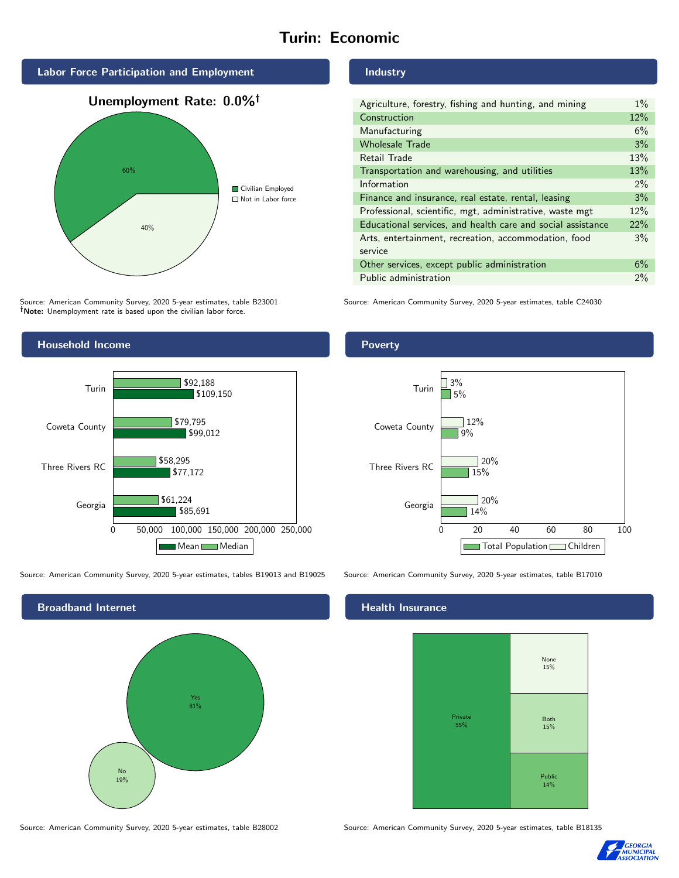# Turin: Economic





Source: American Community Survey, 2020 5-year estimates, table B23001 Note: Unemployment rate is based upon the civilian labor force.



Source: American Community Survey, 2020 5-year estimates, tables B19013 and B19025 Source: American Community Survey, 2020 5-year estimates, table B17010



Source: American Community Survey, 2020 5-year estimates, table B28002 Source: American Community Survey, 2020 5-year estimates, table B18135

#### Industry

| Agriculture, forestry, fishing and hunting, and mining      | $1\%$ |
|-------------------------------------------------------------|-------|
| Construction                                                | 12%   |
| Manufacturing                                               | 6%    |
| <b>Wholesale Trade</b>                                      | 3%    |
| Retail Trade                                                | 13%   |
| Transportation and warehousing, and utilities               | 13%   |
| Information                                                 | $2\%$ |
| Finance and insurance, real estate, rental, leasing         | 3%    |
| Professional, scientific, mgt, administrative, waste mgt    | 12%   |
| Educational services, and health care and social assistance | 22%   |
| Arts, entertainment, recreation, accommodation, food        | 3%    |
| service                                                     |       |
| Other services, except public administration                | 6%    |
| Public administration                                       | 2%    |

Source: American Community Survey, 2020 5-year estimates, table C24030

## Poverty



# **Health Insurance**